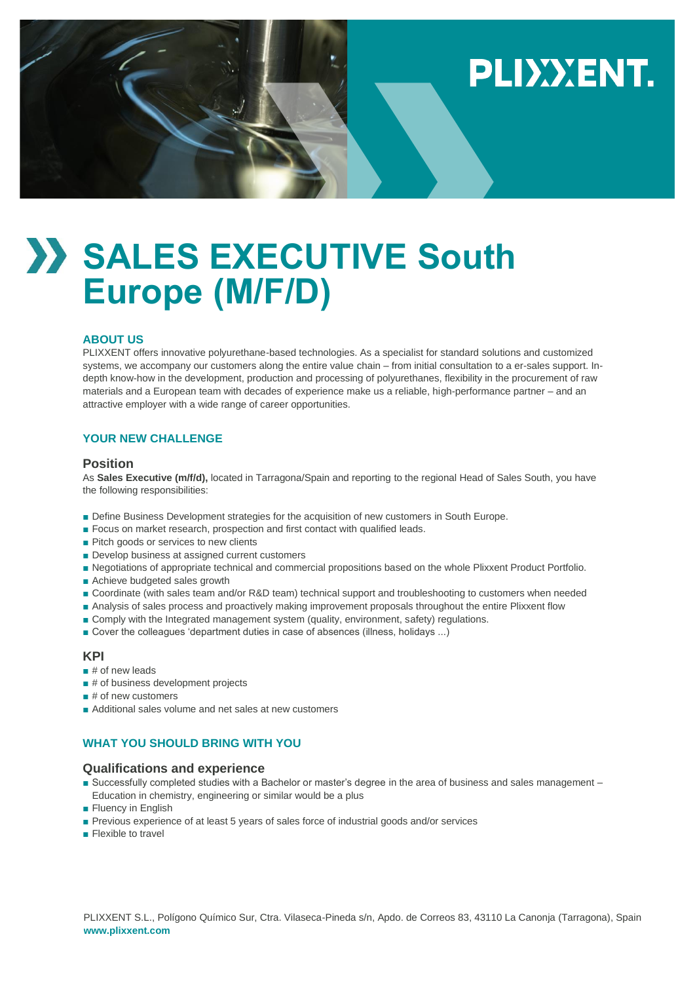# PLIXXENT.

# **SALES EXECUTIVE South Europe (M/F/D)**

### **ABOUT US**

PLIXXENT offers innovative polyurethane-based technologies. As a specialist for standard solutions and customized systems, we accompany our customers along the entire value chain – from initial consultation to a er-sales support. Indepth know-how in the development, production and processing of polyurethanes, flexibility in the procurement of raw materials and a European team with decades of experience make us a reliable, high-performance partner – and an attractive employer with a wide range of career opportunities.

## **YOUR NEW CHALLENGE**

#### **Position**

As **Sales Executive (m/f/d),** located in Tarragona/Spain and reporting to the regional Head of Sales South, you have the following responsibilities:

- Define Business Development strategies for the acquisition of new customers in South Europe.
- Focus on market research, prospection and first contact with qualified leads.
- Pitch goods or services to new clients
- Develop business at assigned current customers
- Negotiations of appropriate technical and commercial propositions based on the whole Plixxent Product Portfolio.
- Achieve budgeted sales growth
- Coordinate (with sales team and/or R&D team) technical support and troubleshooting to customers when needed
- Analysis of sales process and proactively making improvement proposals throughout the entire Plixxent flow
- Comply with the Integrated management system (quality, environment, safety) regulations.
- Cover the colleagues 'department duties in case of absences (illness, holidays ...)

#### **KPI**

- # of new leads
- # of business development projects
- # of new customers
- Additional sales volume and net sales at new customers

# **WHAT YOU SHOULD BRING WITH YOU**

# **Qualifications and experience**

- Successfully completed studies with a Bachelor or master's degree in the area of business and sales management Education in chemistry, engineering or similar would be a plus
- Fluency in English
- Previous experience of at least 5 years of sales force of industrial goods and/or services
- Flexible to travel